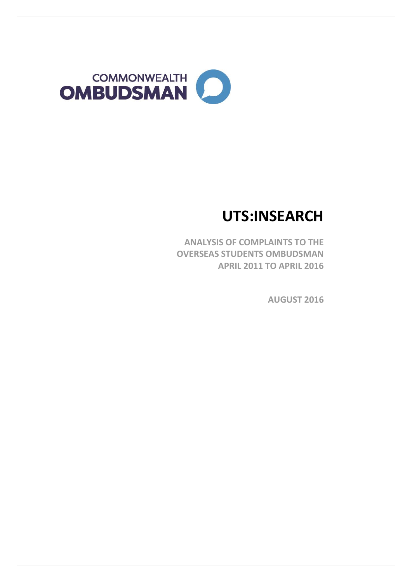

# **UTS:INSEARCH**

**ANALYSIS OF COMPLAINTS TO THE OVERSEAS STUDENTS OMBUDSMAN APRIL 2011 TO APRIL 2016**

**AUGUST 2016**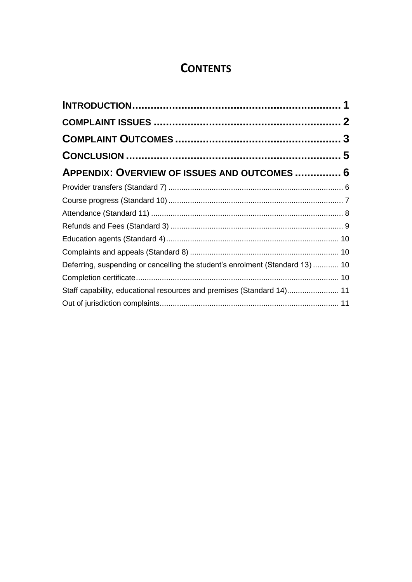## **CONTENTS**

| APPENDIX: OVERVIEW OF ISSUES AND OUTCOMES  6                                  |  |
|-------------------------------------------------------------------------------|--|
|                                                                               |  |
|                                                                               |  |
|                                                                               |  |
|                                                                               |  |
|                                                                               |  |
|                                                                               |  |
| Deferring, suspending or cancelling the student's enrolment (Standard 13)  10 |  |
|                                                                               |  |
| Staff capability, educational resources and premises (Standard 14) 11         |  |
|                                                                               |  |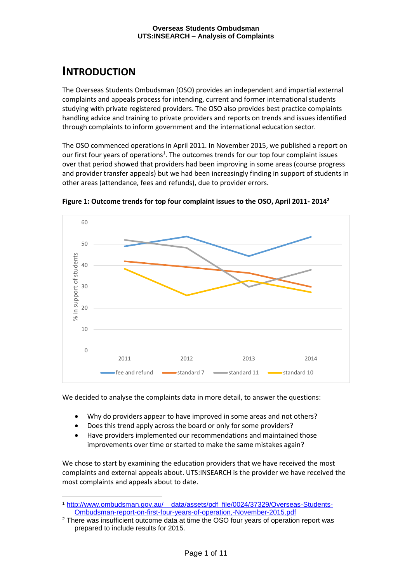## <span id="page-2-0"></span>**INTRODUCTION**

-

The Overseas Students Ombudsman (OSO) provides an independent and impartial external complaints and appeals process for intending, current and former international students studying with private registered providers. The OSO also provides best practice complaints handling advice and training to private providers and reports on trends and issues identified through complaints to inform government and the international education sector.

The OSO commenced operations in April 2011. In November 2015, we published a report on our first four years of operations<sup>1</sup>. The outcomes trends for our top four complaint issues over that period showed that providers had been improving in some areas (course progress and provider transfer appeals) but we had been increasingly finding in support of students in other areas (attendance, fees and refunds), due to provider errors.



**Figure 1: Outcome trends for top four complaint issues to the OSO, April 2011- 2014<sup>2</sup>**

We decided to analyse the complaints data in more detail, to answer the questions:

- Why do providers appear to have improved in some areas and not others?
- Does this trend apply across the board or only for some providers?
- Have providers implemented our recommendations and maintained those improvements over time or started to make the same mistakes again?

We chose to start by examining the education providers that we have received the most complaints and external appeals about. UTS:INSEARCH is the provider we have received the most complaints and appeals about to date.

<sup>1</sup> [http://www.ombudsman.gov.au/\\_\\_data/assets/pdf\\_file/0024/37329/Overseas-Students-](http://www.ombudsman.gov.au/__data/assets/pdf_file/0024/37329/Overseas-Students-Ombudsman-report-on-first-four-years-of-operation,-November-2015.pdf)[Ombudsman-report-on-first-four-years-of-operation,-November-2015.pdf](http://www.ombudsman.gov.au/__data/assets/pdf_file/0024/37329/Overseas-Students-Ombudsman-report-on-first-four-years-of-operation,-November-2015.pdf)

<sup>2</sup> There was insufficient outcome data at time the OSO four years of operation report was prepared to include results for 2015.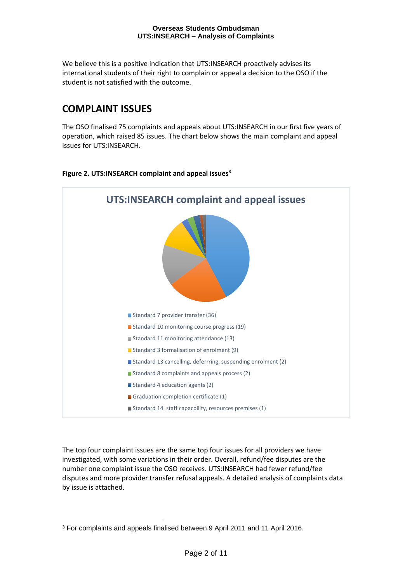We believe this is a positive indication that UTS:INSEARCH proactively advises its international students of their right to complain or appeal a decision to the OSO if the student is not satisfied with the outcome.

## <span id="page-3-0"></span>**COMPLAINT ISSUES**

The OSO finalised 75 complaints and appeals about UTS:INSEARCH in our first five years of operation, which raised 85 issues. The chart below shows the main complaint and appeal issues for UTS:INSEARCH.

#### **Figure 2. UTS:INSEARCH complaint and appeal issues<sup>3</sup>**



The top four complaint issues are the same top four issues for all providers we have investigated, with some variations in their order. Overall, refund/fee disputes are the number one complaint issue the OSO receives. UTS:INSEARCH had fewer refund/fee disputes and more provider transfer refusal appeals. A detailed analysis of complaints data by issue is attached.

<sup>-</sup><sup>3</sup> For complaints and appeals finalised between 9 April 2011 and 11 April 2016.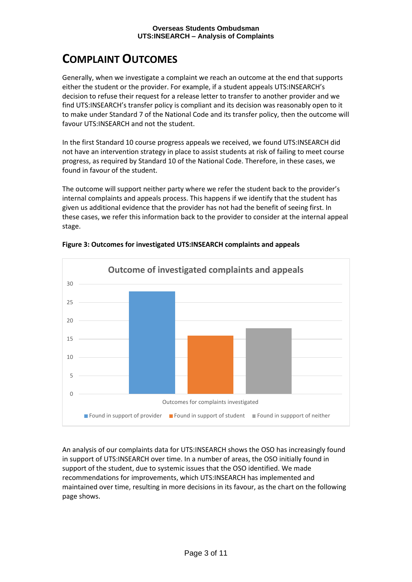## <span id="page-4-0"></span>**COMPLAINT OUTCOMES**

Generally, when we investigate a complaint we reach an outcome at the end that supports either the student or the provider. For example, if a student appeals UTS:INSEARCH's decision to refuse their request for a release letter to transfer to another provider and we find UTS:INSEARCH's transfer policy is compliant and its decision was reasonably open to it to make under Standard 7 of the National Code and its transfer policy, then the outcome will favour UTS:INSEARCH and not the student.

In the first Standard 10 course progress appeals we received, we found UTS:INSEARCH did not have an intervention strategy in place to assist students at risk of failing to meet course progress, as required by Standard 10 of the National Code. Therefore, in these cases, we found in favour of the student.

The outcome will support neither party where we refer the student back to the provider's internal complaints and appeals process. This happens if we identify that the student has given us additional evidence that the provider has not had the benefit of seeing first. In these cases, we refer this information back to the provider to consider at the internal appeal stage.



**Figure 3: Outcomes for investigated UTS:INSEARCH complaints and appeals**

An analysis of our complaints data for UTS:INSEARCH shows the OSO has increasingly found in support of UTS:INSEARCH over time. In a number of areas, the OSO initially found in support of the student, due to systemic issues that the OSO identified. We made recommendations for improvements, which UTS:INSEARCH has implemented and maintained over time, resulting in more decisions in its favour, as the chart on the following page shows.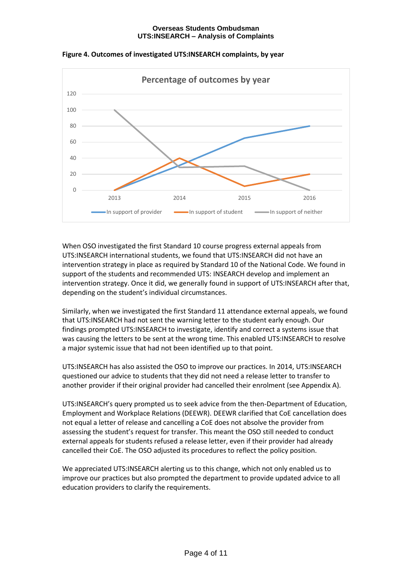

**Figure 4. Outcomes of investigated UTS:INSEARCH complaints, by year**

When OSO investigated the first Standard 10 course progress external appeals from UTS:INSEARCH international students, we found that UTS:INSEARCH did not have an intervention strategy in place as required by Standard 10 of the National Code. We found in support of the students and recommended UTS: INSEARCH develop and implement an intervention strategy. Once it did, we generally found in support of UTS:INSEARCH after that, depending on the student's individual circumstances.

Similarly, when we investigated the first Standard 11 attendance external appeals, we found that UTS:INSEARCH had not sent the warning letter to the student early enough. Our findings prompted UTS:INSEARCH to investigate, identify and correct a systems issue that was causing the letters to be sent at the wrong time. This enabled UTS:INSEARCH to resolve a major systemic issue that had not been identified up to that point.

UTS:INSEARCH has also assisted the OSO to improve our practices. In 2014, UTS:INSEARCH questioned our advice to students that they did not need a release letter to transfer to another provider if their original provider had cancelled their enrolment (see Appendix A).

UTS:INSEARCH's query prompted us to seek advice from the then-Department of Education, Employment and Workplace Relations (DEEWR). DEEWR clarified that CoE cancellation does not equal a letter of release and cancelling a CoE does not absolve the provider from assessing the student's request for transfer. This meant the OSO still needed to conduct external appeals for students refused a release letter, even if their provider had already cancelled their CoE. The OSO adjusted its procedures to reflect the policy position.

We appreciated UTS:INSEARCH alerting us to this change, which not only enabled us to improve our practices but also prompted the department to provide updated advice to all education providers to clarify the requirements.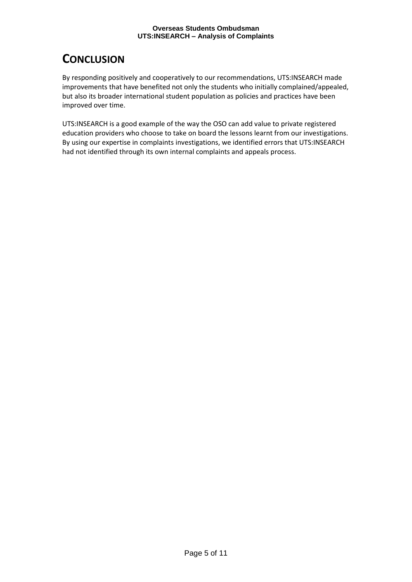## <span id="page-6-0"></span>**CONCLUSION**

By responding positively and cooperatively to our recommendations, UTS:INSEARCH made improvements that have benefited not only the students who initially complained/appealed, but also its broader international student population as policies and practices have been improved over time.

UTS:INSEARCH is a good example of the way the OSO can add value to private registered education providers who choose to take on board the lessons learnt from our investigations. By using our expertise in complaints investigations, we identified errors that UTS:INSEARCH had not identified through its own internal complaints and appeals process.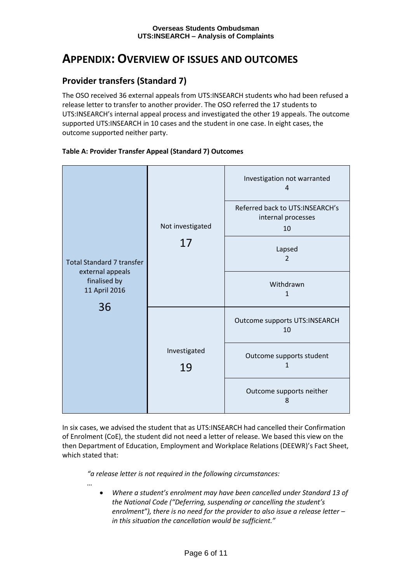## <span id="page-7-0"></span>**APPENDIX: OVERVIEW OF ISSUES AND OUTCOMES**

### <span id="page-7-1"></span>**Provider transfers (Standard 7)**

The OSO received 36 external appeals from UTS:INSEARCH students who had been refused a release letter to transfer to another provider. The OSO referred the 17 students to UTS:INSEARCH's internal appeal process and investigated the other 19 appeals. The outcome supported UTS:INSEARCH in 10 cases and the student in one case. In eight cases, the outcome supported neither party.



#### **Table A: Provider Transfer Appeal (Standard 7) Outcomes**

In six cases, we advised the student that as UTS:INSEARCH had cancelled their Confirmation of Enrolment (CoE), the student did not need a letter of release. We based this view on the then Department of Education, Employment and Workplace Relations (DEEWR)'s Fact Sheet, which stated that:

*"a release letter is not required in the following circumstances:*

- *…*
	- *Where a student's enrolment may have been cancelled under Standard 13 of the National Code ("Deferring, suspending or cancelling the student's enrolment"), there is no need for the provider to also issue a release letter – in this situation the cancellation would be sufficient."*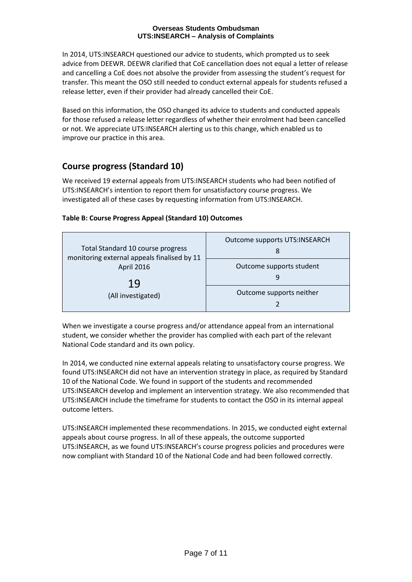In 2014, UTS:INSEARCH questioned our advice to students, which prompted us to seek advice from DEEWR. DEEWR clarified that CoE cancellation does not equal a letter of release and cancelling a CoE does not absolve the provider from assessing the student's request for transfer. This meant the OSO still needed to conduct external appeals for students refused a release letter, even if their provider had already cancelled their CoE.

Based on this information, the OSO changed its advice to students and conducted appeals for those refused a release letter regardless of whether their enrolment had been cancelled or not. We appreciate UTS:INSEARCH alerting us to this change, which enabled us to improve our practice in this area.

### <span id="page-8-0"></span>**Course progress (Standard 10)**

We received 19 external appeals from UTS:INSEARCH students who had been notified of UTS:INSEARCH's intention to report them for unsatisfactory course progress. We investigated all of these cases by requesting information from UTS:INSEARCH.

#### **Table B: Course Progress Appeal (Standard 10) Outcomes**

| Total Standard 10 course progress<br>monitoring external appeals finalised by 11<br>April 2016<br>19<br>(All investigated) | Outcome supports UTS:INSEARCH<br>8 |
|----------------------------------------------------------------------------------------------------------------------------|------------------------------------|
|                                                                                                                            | Outcome supports student           |
|                                                                                                                            | Outcome supports neither           |

When we investigate a course progress and/or attendance appeal from an international student, we consider whether the provider has complied with each part of the relevant National Code standard and its own policy.

In 2014, we conducted nine external appeals relating to unsatisfactory course progress. We found UTS:INSEARCH did not have an intervention strategy in place, as required by Standard 10 of the National Code. We found in support of the students and recommended UTS:INSEARCH develop and implement an intervention strategy. We also recommended that UTS:INSEARCH include the timeframe for students to contact the OSO in its internal appeal outcome letters.

UTS:INSEARCH implemented these recommendations. In 2015, we conducted eight external appeals about course progress. In all of these appeals, the outcome supported UTS:INSEARCH, as we found UTS:INSEARCH's course progress policies and procedures were now compliant with Standard 10 of the National Code and had been followed correctly.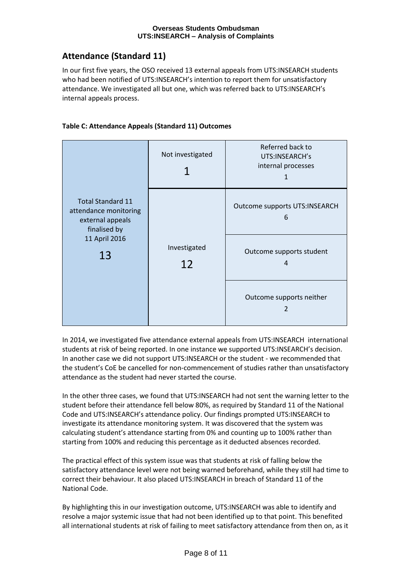## <span id="page-9-0"></span>**Attendance (Standard 11)**

In our first five years, the OSO received 13 external appeals from UTS:INSEARCH students who had been notified of UTS:INSEARCH's intention to report them for unsatisfactory attendance. We investigated all but one, which was referred back to UTS:INSEARCH's internal appeals process.



| <b>Total Standard 11</b><br>attendance monitoring<br>external appeals<br>finalised by<br>11 April 2016<br>13 | Not investigated   | Referred back to<br>UTS:INSEARCH's<br>internal processes |
|--------------------------------------------------------------------------------------------------------------|--------------------|----------------------------------------------------------|
|                                                                                                              | Investigated<br>12 | <b>Outcome supports UTS:INSEARCH</b><br>6                |
|                                                                                                              |                    | Outcome supports student<br>4                            |
|                                                                                                              |                    | Outcome supports neither                                 |

In 2014, we investigated five attendance external appeals from UTS:INSEARCH international students at risk of being reported. In one instance we supported UTS:INSEARCH's decision. In another case we did not support UTS:INSEARCH or the student - we recommended that the student's CoE be cancelled for non-commencement of studies rather than unsatisfactory attendance as the student had never started the course.

In the other three cases, we found that UTS:INSEARCH had not sent the warning letter to the student before their attendance fell below 80%, as required by Standard 11 of the National Code and UTS:INSEARCH's attendance policy. Our findings prompted UTS:INSEARCH to investigate its attendance monitoring system. It was discovered that the system was calculating student's attendance starting from 0% and counting up to 100% rather than starting from 100% and reducing this percentage as it deducted absences recorded.

The practical effect of this system issue was that students at risk of falling below the satisfactory attendance level were not being warned beforehand, while they still had time to correct their behaviour. It also placed UTS:INSEARCH in breach of Standard 11 of the National Code.

By highlighting this in our investigation outcome, UTS:INSEARCH was able to identify and resolve a major systemic issue that had not been identified up to that point. This benefited all international students at risk of failing to meet satisfactory attendance from then on, as it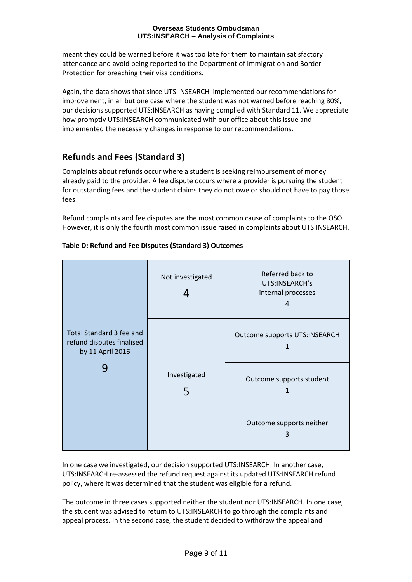meant they could be warned before it was too late for them to maintain satisfactory attendance and avoid being reported to the Department of Immigration and Border Protection for breaching their visa conditions.

Again, the data shows that since UTS:INSEARCH implemented our recommendations for improvement, in all but one case where the student was not warned before reaching 80%, our decisions supported UTS:INSEARCH as having complied with Standard 11. We appreciate how promptly UTS:INSEARCH communicated with our office about this issue and implemented the necessary changes in response to our recommendations.

## <span id="page-10-0"></span>**Refunds and Fees (Standard 3)**

Complaints about refunds occur where a student is seeking reimbursement of money already paid to the provider. A fee dispute occurs where a provider is pursuing the student for outstanding fees and the student claims they do not owe or should not have to pay those fees.

Refund complaints and fee disputes are the most common cause of complaints to the OSO. However, it is only the fourth most common issue raised in complaints about UTS:INSEARCH.

| <b>Total Standard 3 fee and</b><br>refund disputes finalised<br>by 11 April 2016 | Not investigated<br>4 | Referred back to<br>UTS:INSEARCH's<br>internal processes<br>4 |
|----------------------------------------------------------------------------------|-----------------------|---------------------------------------------------------------|
|                                                                                  |                       | <b>Outcome supports UTS:INSEARCH</b><br>1                     |
|                                                                                  | Investigated<br>5     | Outcome supports student<br>1                                 |
|                                                                                  |                       | Outcome supports neither<br>3                                 |

#### **Table D: Refund and Fee Disputes (Standard 3) Outcomes**

In one case we investigated, our decision supported UTS:INSEARCH. In another case, UTS:INSEARCH re-assessed the refund request against its updated UTS:INSEARCH refund policy, where it was determined that the student was eligible for a refund.

The outcome in three cases supported neither the student nor UTS:INSEARCH. In one case, the student was advised to return to UTS:INSEARCH to go through the complaints and appeal process. In the second case, the student decided to withdraw the appeal and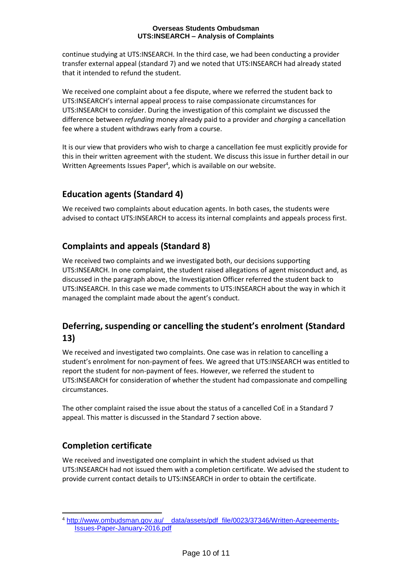continue studying at UTS:INSEARCH. In the third case, we had been conducting a provider transfer external appeal (standard 7) and we noted that UTS:INSEARCH had already stated that it intended to refund the student.

We received one complaint about a fee dispute, where we referred the student back to UTS:INSEARCH's internal appeal process to raise compassionate circumstances for UTS:INSEARCH to consider. During the investigation of this complaint we discussed the difference between *refunding* money already paid to a provider and *charging* a cancellation fee where a student withdraws early from a course.

It is our view that providers who wish to charge a cancellation fee must explicitly provide for this in their written agreement with the student. We discuss this issue in further detail in our Written Agreements Issues Paper<sup>4</sup>, which is available on our website.

## <span id="page-11-0"></span>**Education agents (Standard 4)**

We received two complaints about education agents. In both cases, the students were advised to contact UTS:INSEARCH to access its internal complaints and appeals process first.

## <span id="page-11-1"></span>**Complaints and appeals (Standard 8)**

We received two complaints and we investigated both, our decisions supporting UTS:INSEARCH. In one complaint, the student raised allegations of agent misconduct and, as discussed in the paragraph above, the Investigation Officer referred the student back to UTS:INSEARCH. In this case we made comments to UTS:INSEARCH about the way in which it managed the complaint made about the agent's conduct.

### <span id="page-11-2"></span>**Deferring, suspending or cancelling the student's enrolment (Standard 13)**

We received and investigated two complaints. One case was in relation to cancelling a student's enrolment for non-payment of fees. We agreed that UTS:INSEARCH was entitled to report the student for non-payment of fees. However, we referred the student to UTS:INSEARCH for consideration of whether the student had compassionate and compelling circumstances.

The other complaint raised the issue about the status of a cancelled CoE in a Standard 7 appeal. This matter is discussed in the Standard 7 section above.

### <span id="page-11-3"></span>**Completion certificate**

We received and investigated one complaint in which the student advised us that UTS:INSEARCH had not issued them with a completion certificate. We advised the student to provide current contact details to UTS:INSEARCH in order to obtain the certificate.

<sup>-</sup><sup>4</sup> [http://www.ombudsman.gov.au/\\_\\_data/assets/pdf\\_file/0023/37346/Written-Agreeements-](http://www.ombudsman.gov.au/__data/assets/pdf_file/0023/37346/Written-Agreeements-Issues-Paper-January-2016.pdf)[Issues-Paper-January-2016.pdf](http://www.ombudsman.gov.au/__data/assets/pdf_file/0023/37346/Written-Agreeements-Issues-Paper-January-2016.pdf)